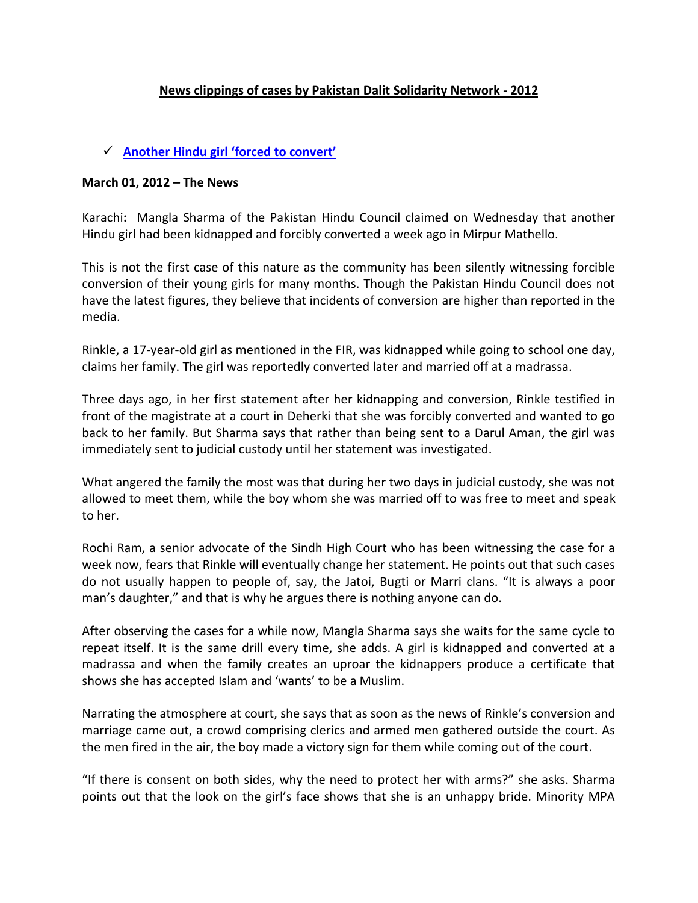### **News clippings of cases by Pakistan Dalit Solidarity Network - 2012**

#### **[Another Hindu girl 'forced to convert'](http://www.thenews.com.pk/TodaysPrintDetail.aspx?ID=95293&Cat=4)**

#### **March 01, 2012 – The News**

Karachi**:** Mangla Sharma of the Pakistan Hindu Council claimed on Wednesday that another Hindu girl had been kidnapped and forcibly converted a week ago in Mirpur Mathello.

This is not the first case of this nature as the community has been silently witnessing forcible conversion of their young girls for many months. Though the Pakistan Hindu Council does not have the latest figures, they believe that incidents of conversion are higher than reported in the media.

Rinkle, a 17-year-old girl as mentioned in the FIR, was kidnapped while going to school one day, claims her family. The girl was reportedly converted later and married off at a madrassa.

Three days ago, in her first statement after her kidnapping and conversion, Rinkle testified in front of the magistrate at a court in Deherki that she was forcibly converted and wanted to go back to her family. But Sharma says that rather than being sent to a Darul Aman, the girl was immediately sent to judicial custody until her statement was investigated.

What angered the family the most was that during her two days in judicial custody, she was not allowed to meet them, while the boy whom she was married off to was free to meet and speak to her.

Rochi Ram, a senior advocate of the Sindh High Court who has been witnessing the case for a week now, fears that Rinkle will eventually change her statement. He points out that such cases do not usually happen to people of, say, the Jatoi, Bugti or Marri clans. "It is always a poor man's daughter," and that is why he argues there is nothing anyone can do.

After observing the cases for a while now, Mangla Sharma says she waits for the same cycle to repeat itself. It is the same drill every time, she adds. A girl is kidnapped and converted at a madrassa and when the family creates an uproar the kidnappers produce a certificate that shows she has accepted Islam and 'wants' to be a Muslim.

Narrating the atmosphere at court, she says that as soon as the news of Rinkle's conversion and marriage came out, a crowd comprising clerics and armed men gathered outside the court. As the men fired in the air, the boy made a victory sign for them while coming out of the court.

"If there is consent on both sides, why the need to protect her with arms?" she asks. Sharma points out that the look on the girl's face shows that she is an unhappy bride. Minority MPA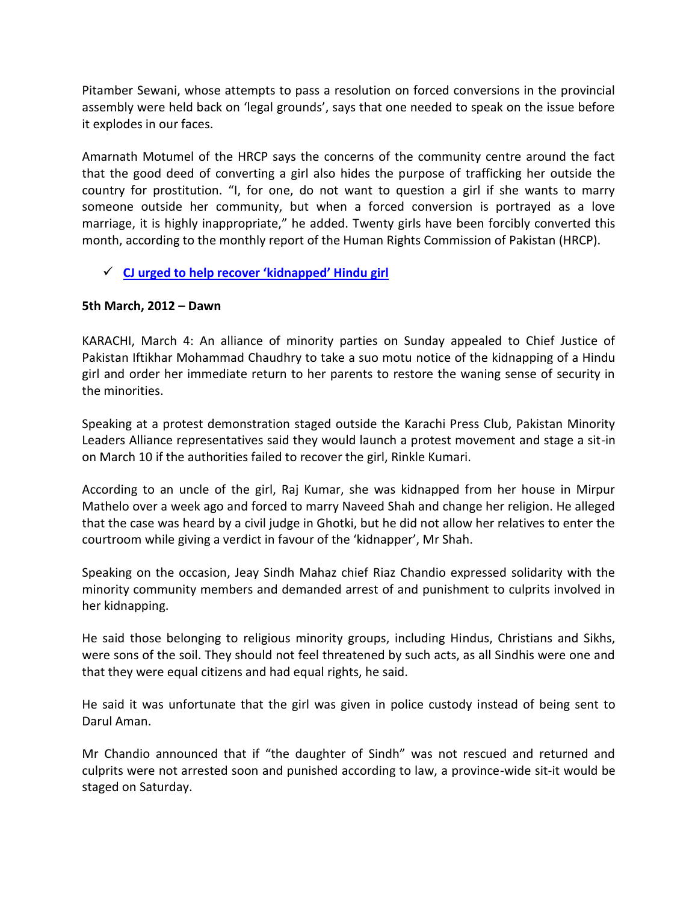Pitamber Sewani, whose attempts to pass a resolution on forced conversions in the provincial assembly were held back on 'legal grounds', says that one needed to speak on the issue before it explodes in our faces.

Amarnath Motumel of the HRCP says the concerns of the community centre around the fact that the good deed of converting a girl also hides the purpose of trafficking her outside the country for prostitution. "I, for one, do not want to question a girl if she wants to marry someone outside her community, but when a forced conversion is portrayed as a love marriage, it is highly inappropriate," he added. Twenty girls have been forcibly converted this month, according to the monthly report of the Human Rights Commission of Pakistan (HRCP).

# **[CJ urged to help recover 'kidnapped' Hindu girl](http://dawn.com/2012/03/05/cj-urged-to-help-recover-kidnapped-hindu-girl/)**

### **5th March, 2012 – Dawn**

KARACHI, March 4: An alliance of minority parties on Sunday appealed to Chief Justice of Pakistan Iftikhar Mohammad Chaudhry to take a suo motu notice of the kidnapping of a Hindu girl and order her immediate return to her parents to restore the waning sense of security in the minorities.

Speaking at a protest demonstration staged outside the Karachi Press Club, Pakistan Minority Leaders Alliance representatives said they would launch a protest movement and stage a sit-in on March 10 if the authorities failed to recover the girl, Rinkle Kumari.

According to an uncle of the girl, Raj Kumar, she was kidnapped from her house in Mirpur Mathelo over a week ago and forced to marry Naveed Shah and change her religion. He alleged that the case was heard by a civil judge in Ghotki, but he did not allow her relatives to enter the courtroom while giving a verdict in favour of the 'kidnapper', Mr Shah.

Speaking on the occasion, Jeay Sindh Mahaz chief Riaz Chandio expressed solidarity with the minority community members and demanded arrest of and punishment to culprits involved in her kidnapping.

He said those belonging to religious minority groups, including Hindus, Christians and Sikhs, were sons of the soil. They should not feel threatened by such acts, as all Sindhis were one and that they were equal citizens and had equal rights, he said.

He said it was unfortunate that the girl was given in police custody instead of being sent to Darul Aman.

Mr Chandio announced that if "the daughter of Sindh" was not rescued and returned and culprits were not arrested soon and punished according to law, a province-wide sit-it would be staged on Saturday.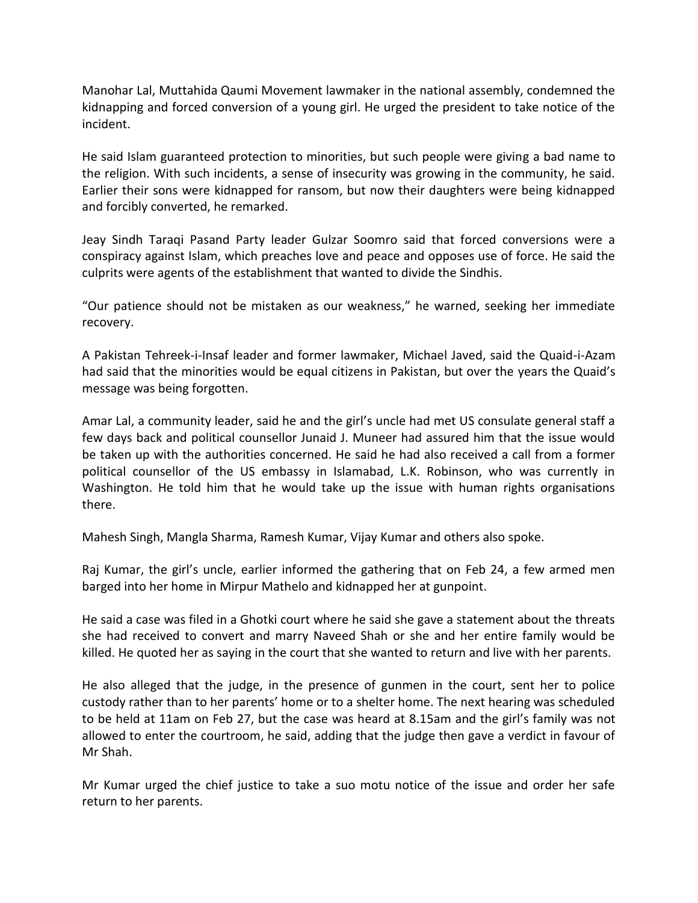Manohar Lal, Muttahida Qaumi Movement lawmaker in the national assembly, condemned the kidnapping and forced conversion of a young girl. He urged the president to take notice of the incident.

He said Islam guaranteed protection to minorities, but such people were giving a bad name to the religion. With such incidents, a sense of insecurity was growing in the community, he said. Earlier their sons were kidnapped for ransom, but now their daughters were being kidnapped and forcibly converted, he remarked.

Jeay Sindh Taraqi Pasand Party leader Gulzar Soomro said that forced conversions were a conspiracy against Islam, which preaches love and peace and opposes use of force. He said the culprits were agents of the establishment that wanted to divide the Sindhis.

"Our patience should not be mistaken as our weakness," he warned, seeking her immediate recovery.

A Pakistan Tehreek-i-Insaf leader and former lawmaker, Michael Javed, said the Quaid-i-Azam had said that the minorities would be equal citizens in Pakistan, but over the years the Quaid's message was being forgotten.

Amar Lal, a community leader, said he and the girl's uncle had met US consulate general staff a few days back and political counsellor Junaid J. Muneer had assured him that the issue would be taken up with the authorities concerned. He said he had also received a call from a former political counsellor of the US embassy in Islamabad, L.K. Robinson, who was currently in Washington. He told him that he would take up the issue with human rights organisations there.

Mahesh Singh, Mangla Sharma, Ramesh Kumar, Vijay Kumar and others also spoke.

Raj Kumar, the girl's uncle, earlier informed the gathering that on Feb 24, a few armed men barged into her home in Mirpur Mathelo and kidnapped her at gunpoint.

He said a case was filed in a Ghotki court where he said she gave a statement about the threats she had received to convert and marry Naveed Shah or she and her entire family would be killed. He quoted her as saying in the court that she wanted to return and live with her parents.

He also alleged that the judge, in the presence of gunmen in the court, sent her to police custody rather than to her parents' home or to a shelter home. The next hearing was scheduled to be held at 11am on Feb 27, but the case was heard at 8.15am and the girl's family was not allowed to enter the courtroom, he said, adding that the judge then gave a verdict in favour of Mr Shah.

Mr Kumar urged the chief justice to take a suo motu notice of the issue and order her safe return to her parents.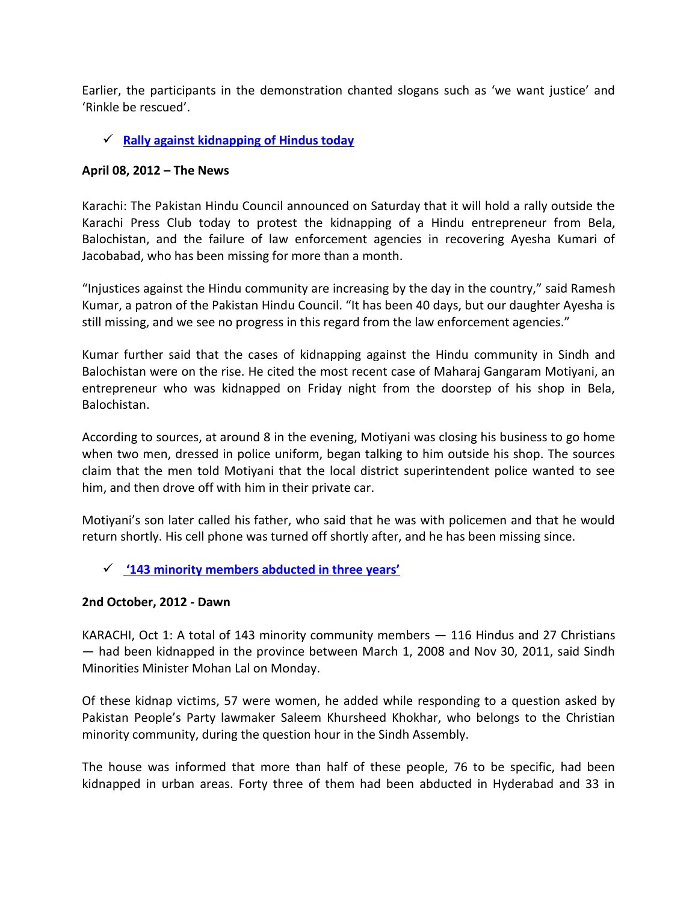Earlier, the participants in the demonstration chanted slogans such as 'we want justice' and 'Rinkle be rescued'.

### **[Rally against kidnapping of Hindus today](http://www.thenews.com.pk/Todays-News-4-101781-Rally-against-kidnapping-of-Hindus-today)**

#### **April 08, 2012 – The News**

Karachi: The Pakistan Hindu Council announced on Saturday that it will hold a rally outside the Karachi Press Club today to protest the kidnapping of a Hindu entrepreneur from Bela, Balochistan, and the failure of law enforcement agencies in recovering Ayesha Kumari of Jacobabad, who has been missing for more than a month.

"Injustices against the Hindu community are increasing by the day in the country," said Ramesh Kumar, a patron of the Pakistan Hindu Council. "It has been 40 days, but our daughter Ayesha is still missing, and we see no progress in this regard from the law enforcement agencies."

Kumar further said that the cases of kidnapping against the Hindu community in Sindh and Balochistan were on the rise. He cited the most recent case of Maharaj Gangaram Motiyani, an entrepreneur who was kidnapped on Friday night from the doorstep of his shop in Bela, Balochistan.

According to sources, at around 8 in the evening, Motiyani was closing his business to go home when two men, dressed in police uniform, began talking to him outside his shop. The sources claim that the men told Motiyani that the local district superintendent police wanted to see him, and then drove off with him in their private car.

Motiyani's son later called his father, who said that he was with policemen and that he would return shortly. His cell phone was turned off shortly after, and he has been missing since.

# **['143 minority members abducted in three years'](http://dawn.com/2012/10/02/143-minority-members-abducted-in-three-years/)**

#### **2nd October, 2012 - Dawn**

KARACHI, Oct 1: A total of 143 minority community members — 116 Hindus and 27 Christians — had been kidnapped in the province between March 1, 2008 and Nov 30, 2011, said Sindh Minorities Minister Mohan Lal on Monday.

Of these kidnap victims, 57 were women, he added while responding to a question asked by Pakistan People's Party lawmaker Saleem Khursheed Khokhar, who belongs to the Christian minority community, during the question hour in the Sindh Assembly.

The house was informed that more than half of these people, 76 to be specific, had been kidnapped in urban areas. Forty three of them had been abducted in Hyderabad and 33 in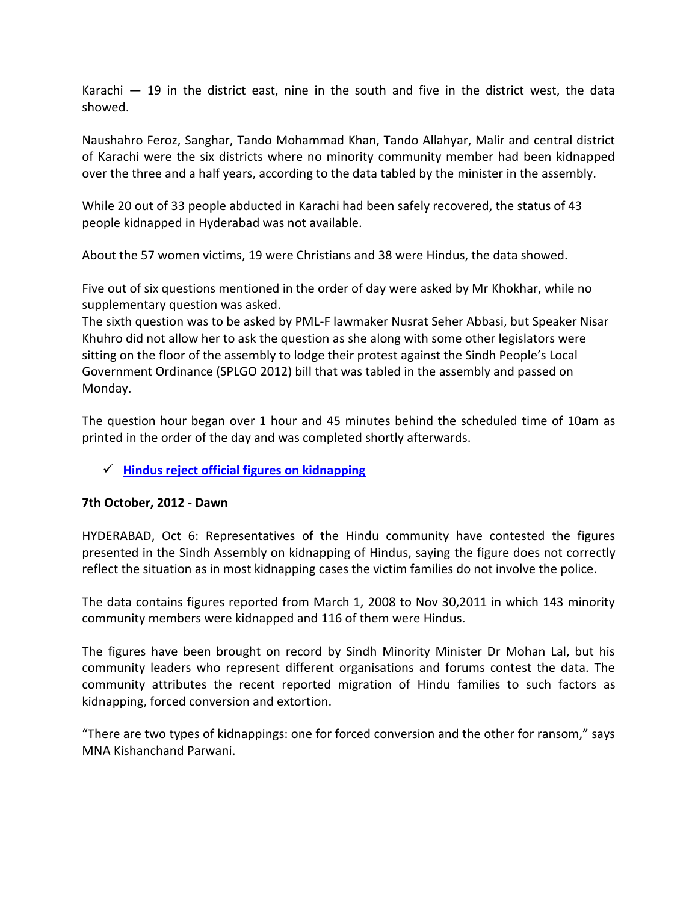Karachi  $-$  19 in the district east, nine in the south and five in the district west, the data showed.

Naushahro Feroz, Sanghar, Tando Mohammad Khan, Tando Allahyar, Malir and central district of Karachi were the six districts where no minority community member had been kidnapped over the three and a half years, according to the data tabled by the minister in the assembly.

While 20 out of 33 people abducted in Karachi had been safely recovered, the status of 43 people kidnapped in Hyderabad was not available.

About the 57 women victims, 19 were Christians and 38 were Hindus, the data showed.

Five out of six questions mentioned in the order of day were asked by Mr Khokhar, while no supplementary question was asked.

The sixth question was to be asked by PML-F lawmaker Nusrat Seher Abbasi, but Speaker Nisar Khuhro did not allow her to ask the question as she along with some other legislators were sitting on the floor of the assembly to lodge their protest against the Sindh People's Local Government Ordinance (SPLGO 2012) bill that was tabled in the assembly and passed on Monday.

The question hour began over 1 hour and 45 minutes behind the scheduled time of 10am as printed in the order of the day and was completed shortly afterwards.

# **[Hindus reject official figures on kidnapping](http://dawn.com/2012/10/07/hindus-reject-official-figures-on-kidnapping/)**

# **7th October, 2012 - Dawn**

HYDERABAD, Oct 6: Representatives of the Hindu community have contested the figures presented in the Sindh Assembly on kidnapping of Hindus, saying the figure does not correctly reflect the situation as in most kidnapping cases the victim families do not involve the police.

The data contains figures reported from March 1, 2008 to Nov 30,2011 in which 143 minority community members were kidnapped and 116 of them were Hindus.

The figures have been brought on record by Sindh Minority Minister Dr Mohan Lal, but his community leaders who represent different organisations and forums contest the data. The community attributes the recent reported migration of Hindu families to such factors as kidnapping, forced conversion and extortion.

"There are two types of kidnappings: one for forced conversion and the other for ransom," says MNA Kishanchand Parwani.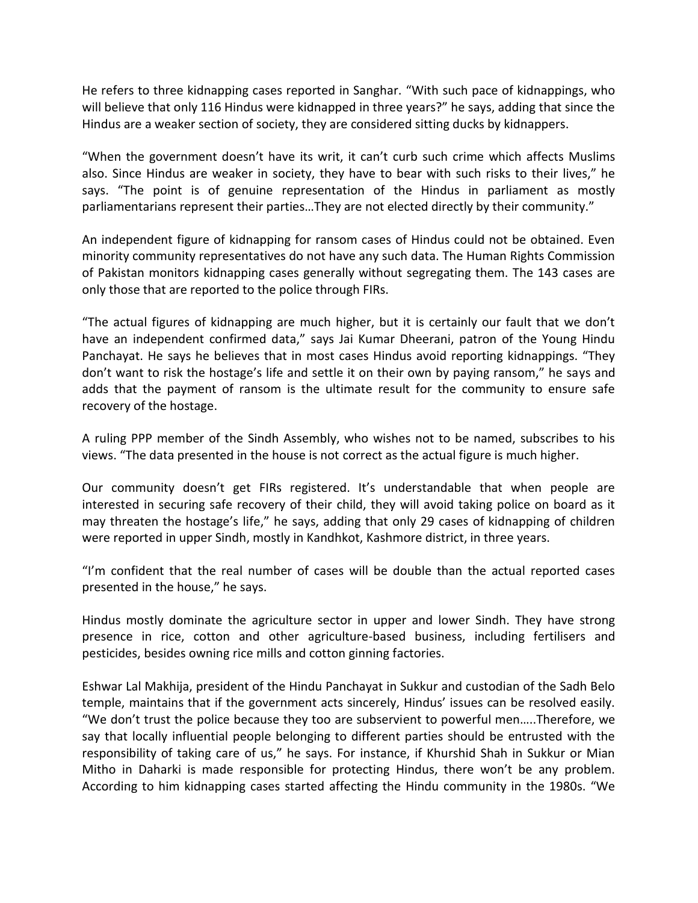He refers to three kidnapping cases reported in Sanghar. "With such pace of kidnappings, who will believe that only 116 Hindus were kidnapped in three years?" he says, adding that since the Hindus are a weaker section of society, they are considered sitting ducks by kidnappers.

"When the government doesn't have its writ, it can't curb such crime which affects Muslims also. Since Hindus are weaker in society, they have to bear with such risks to their lives," he says. "The point is of genuine representation of the Hindus in parliament as mostly parliamentarians represent their parties…They are not elected directly by their community."

An independent figure of kidnapping for ransom cases of Hindus could not be obtained. Even minority community representatives do not have any such data. The Human Rights Commission of Pakistan monitors kidnapping cases generally without segregating them. The 143 cases are only those that are reported to the police through FIRs.

"The actual figures of kidnapping are much higher, but it is certainly our fault that we don't have an independent confirmed data," says Jai Kumar Dheerani, patron of the Young Hindu Panchayat. He says he believes that in most cases Hindus avoid reporting kidnappings. "They don't want to risk the hostage's life and settle it on their own by paying ransom," he says and adds that the payment of ransom is the ultimate result for the community to ensure safe recovery of the hostage.

A ruling PPP member of the Sindh Assembly, who wishes not to be named, subscribes to his views. "The data presented in the house is not correct as the actual figure is much higher.

Our community doesn't get FIRs registered. It's understandable that when people are interested in securing safe recovery of their child, they will avoid taking police on board as it may threaten the hostage's life," he says, adding that only 29 cases of kidnapping of children were reported in upper Sindh, mostly in Kandhkot, Kashmore district, in three years.

"I'm confident that the real number of cases will be double than the actual reported cases presented in the house," he says.

Hindus mostly dominate the agriculture sector in upper and lower Sindh. They have strong presence in rice, cotton and other agriculture-based business, including fertilisers and pesticides, besides owning rice mills and cotton ginning factories.

Eshwar Lal Makhija, president of the Hindu Panchayat in Sukkur and custodian of the Sadh Belo temple, maintains that if the government acts sincerely, Hindus' issues can be resolved easily. "We don't trust the police because they too are subservient to powerful men…..Therefore, we say that locally influential people belonging to different parties should be entrusted with the responsibility of taking care of us," he says. For instance, if Khurshid Shah in Sukkur or Mian Mitho in Daharki is made responsible for protecting Hindus, there won't be any problem. According to him kidnapping cases started affecting the Hindu community in the 1980s. "We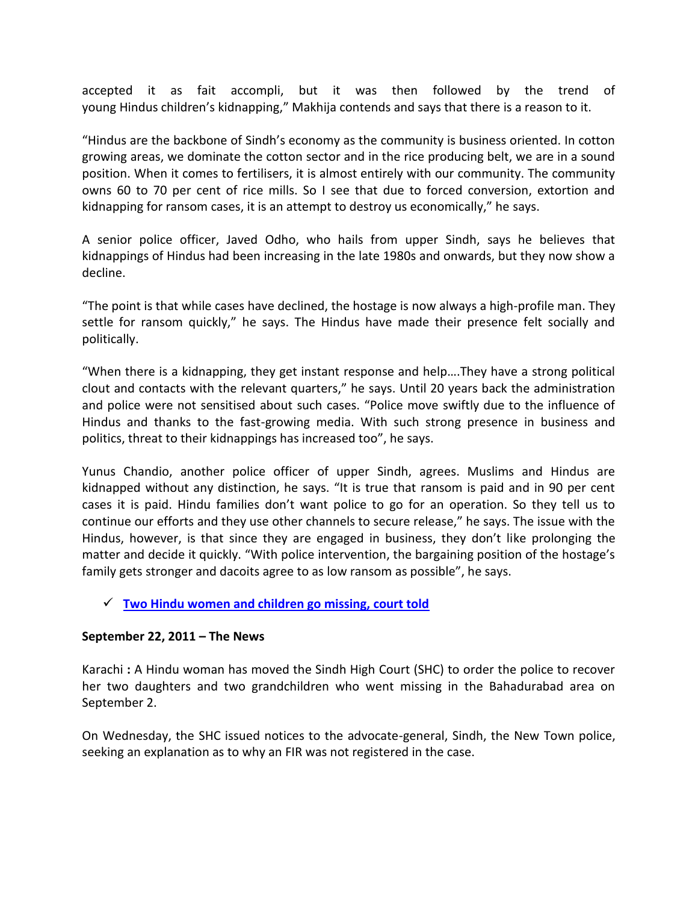accepted it as fait accompli, but it was then followed by the trend of young Hindus children's kidnapping," Makhija contends and says that there is a reason to it.

"Hindus are the backbone of Sindh's economy as the community is business oriented. In cotton growing areas, we dominate the cotton sector and in the rice producing belt, we are in a sound position. When it comes to fertilisers, it is almost entirely with our community. The community owns 60 to 70 per cent of rice mills. So I see that due to forced conversion, extortion and kidnapping for ransom cases, it is an attempt to destroy us economically," he says.

A senior police officer, Javed Odho, who hails from upper Sindh, says he believes that kidnappings of Hindus had been increasing in the late 1980s and onwards, but they now show a decline.

"The point is that while cases have declined, the hostage is now always a high-profile man. They settle for ransom quickly," he says. The Hindus have made their presence felt socially and politically.

"When there is a kidnapping, they get instant response and help….They have a strong political clout and contacts with the relevant quarters," he says. Until 20 years back the administration and police were not sensitised about such cases. "Police move swiftly due to the influence of Hindus and thanks to the fast-growing media. With such strong presence in business and politics, threat to their kidnappings has increased too", he says.

Yunus Chandio, another police officer of upper Sindh, agrees. Muslims and Hindus are kidnapped without any distinction, he says. "It is true that ransom is paid and in 90 per cent cases it is paid. Hindu families don't want police to go for an operation. So they tell us to continue our efforts and they use other channels to secure release," he says. The issue with the Hindus, however, is that since they are engaged in business, they don't like prolonging the matter and decide it quickly. "With police intervention, the bargaining position of the hostage's family gets stronger and dacoits agree to as low ransom as possible", he says.

#### **[Two Hindu women and children go missing, court told](http://www.thenews.com.pk/Todays-News-4-68808-Two-Hindu-women-and-children-go-missing-court-told)**

#### **September 22, 2011 – The News**

Karachi **:** A Hindu woman has moved the Sindh High Court (SHC) to order the police to recover her two daughters and two grandchildren who went missing in the Bahadurabad area on September 2.

On Wednesday, the SHC issued notices to the advocate-general, Sindh, the New Town police, seeking an explanation as to why an FIR was not registered in the case.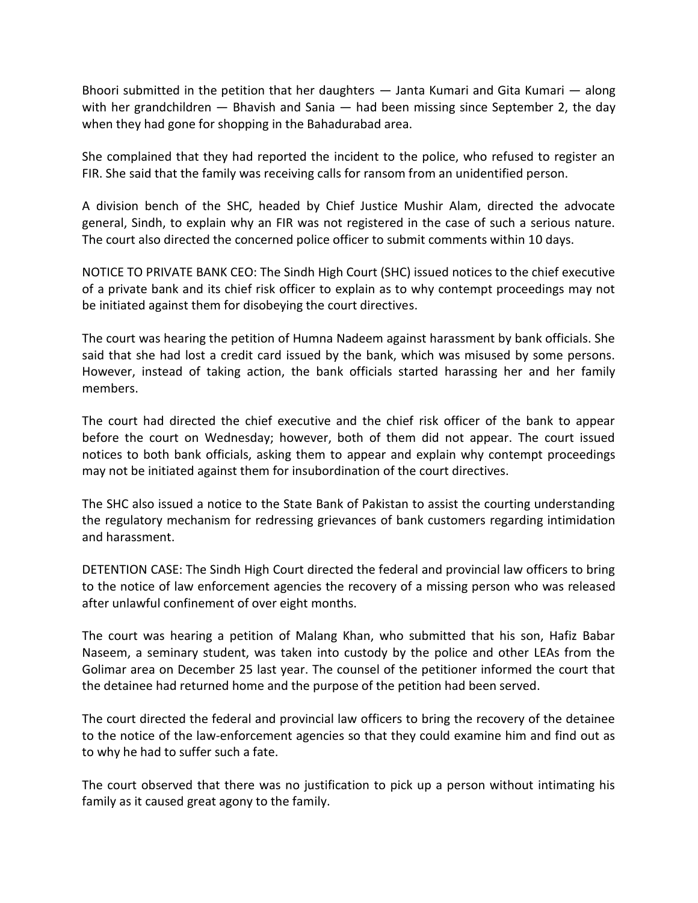Bhoori submitted in the petition that her daughters — Janta Kumari and Gita Kumari — along with her grandchildren  $-$  Bhavish and Sania  $-$  had been missing since September 2, the day when they had gone for shopping in the Bahadurabad area.

She complained that they had reported the incident to the police, who refused to register an FIR. She said that the family was receiving calls for ransom from an unidentified person.

A division bench of the SHC, headed by Chief Justice Mushir Alam, directed the advocate general, Sindh, to explain why an FIR was not registered in the case of such a serious nature. The court also directed the concerned police officer to submit comments within 10 days.

NOTICE TO PRIVATE BANK CEO: The Sindh High Court (SHC) issued notices to the chief executive of a private bank and its chief risk officer to explain as to why contempt proceedings may not be initiated against them for disobeying the court directives.

The court was hearing the petition of Humna Nadeem against harassment by bank officials. She said that she had lost a credit card issued by the bank, which was misused by some persons. However, instead of taking action, the bank officials started harassing her and her family members.

The court had directed the chief executive and the chief risk officer of the bank to appear before the court on Wednesday; however, both of them did not appear. The court issued notices to both bank officials, asking them to appear and explain why contempt proceedings may not be initiated against them for insubordination of the court directives.

The SHC also issued a notice to the State Bank of Pakistan to assist the courting understanding the regulatory mechanism for redressing grievances of bank customers regarding intimidation and harassment.

DETENTION CASE: The Sindh High Court directed the federal and provincial law officers to bring to the notice of law enforcement agencies the recovery of a missing person who was released after unlawful confinement of over eight months.

The court was hearing a petition of Malang Khan, who submitted that his son, Hafiz Babar Naseem, a seminary student, was taken into custody by the police and other LEAs from the Golimar area on December 25 last year. The counsel of the petitioner informed the court that the detainee had returned home and the purpose of the petition had been served.

The court directed the federal and provincial law officers to bring the recovery of the detainee to the notice of the law-enforcement agencies so that they could examine him and find out as to why he had to suffer such a fate.

The court observed that there was no justification to pick up a person without intimating his family as it caused great agony to the family.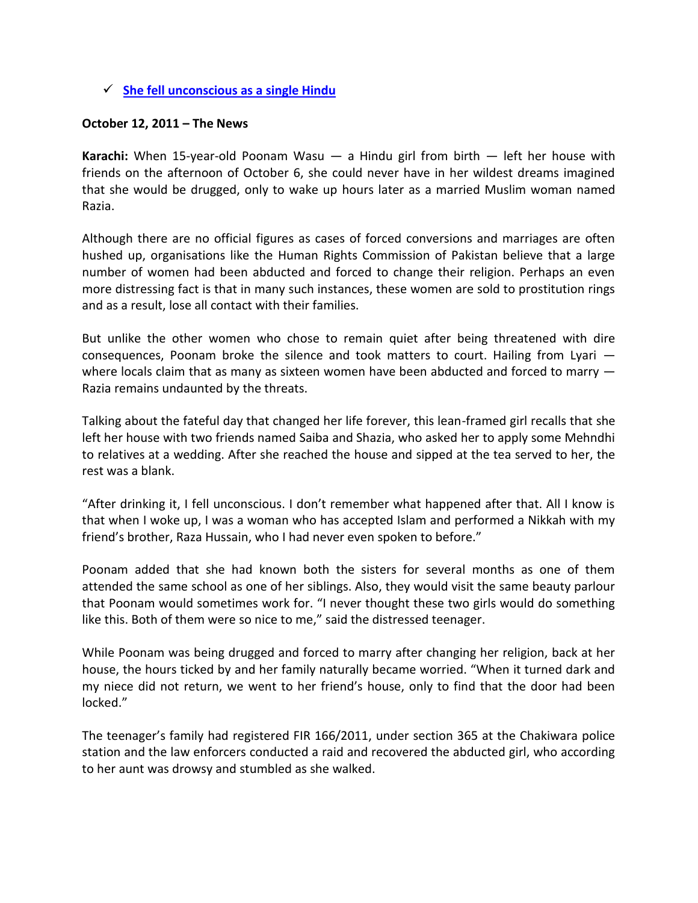### **[She fell unconscious as a single Hindu](http://www.thenews.com.pk/TodaysPrintDetail.aspx?ID=72017&Cat=4)**

#### **October 12, 2011 – The News**

**Karachi:** When 15-year-old Poonam Wasu — a Hindu girl from birth — left her house with friends on the afternoon of October 6, she could never have in her wildest dreams imagined that she would be drugged, only to wake up hours later as a married Muslim woman named Razia.

Although there are no official figures as cases of forced conversions and marriages are often hushed up, organisations like the Human Rights Commission of Pakistan believe that a large number of women had been abducted and forced to change their religion. Perhaps an even more distressing fact is that in many such instances, these women are sold to prostitution rings and as a result, lose all contact with their families.

But unlike the other women who chose to remain quiet after being threatened with dire consequences, Poonam broke the silence and took matters to court. Hailing from Lyari where locals claim that as many as sixteen women have been abducted and forced to marry  $-$ Razia remains undaunted by the threats.

Talking about the fateful day that changed her life forever, this lean-framed girl recalls that she left her house with two friends named Saiba and Shazia, who asked her to apply some Mehndhi to relatives at a wedding. After she reached the house and sipped at the tea served to her, the rest was a blank.

"After drinking it, I fell unconscious. I don't remember what happened after that. All I know is that when I woke up, I was a woman who has accepted Islam and performed a Nikkah with my friend's brother, Raza Hussain, who I had never even spoken to before."

Poonam added that she had known both the sisters for several months as one of them attended the same school as one of her siblings. Also, they would visit the same beauty parlour that Poonam would sometimes work for. "I never thought these two girls would do something like this. Both of them were so nice to me," said the distressed teenager.

While Poonam was being drugged and forced to marry after changing her religion, back at her house, the hours ticked by and her family naturally became worried. "When it turned dark and my niece did not return, we went to her friend's house, only to find that the door had been locked."

The teenager's family had registered FIR 166/2011, under section 365 at the Chakiwara police station and the law enforcers conducted a raid and recovered the abducted girl, who according to her aunt was drowsy and stumbled as she walked.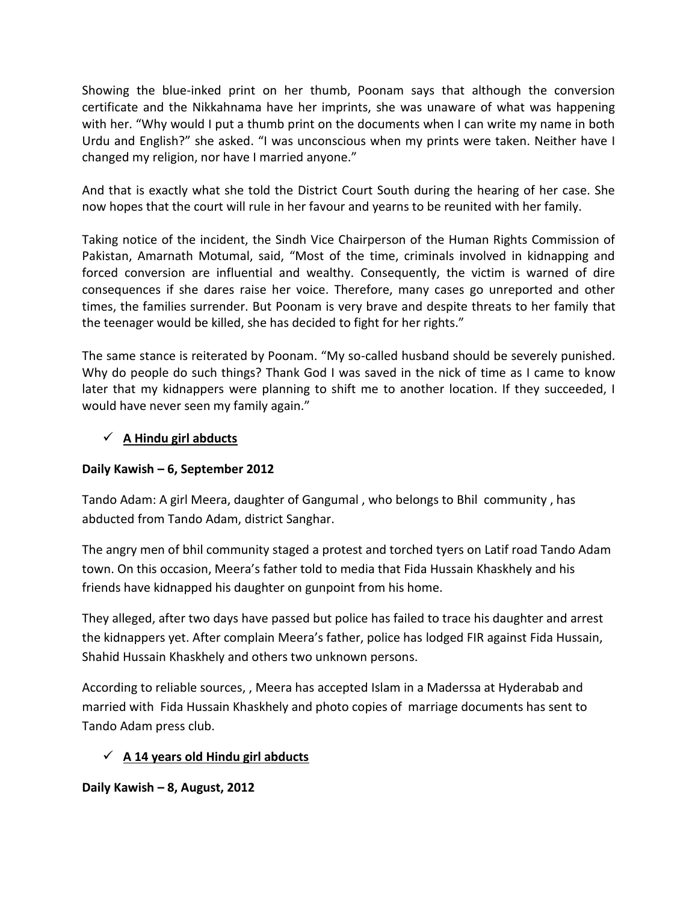Showing the blue-inked print on her thumb, Poonam says that although the conversion certificate and the Nikkahnama have her imprints, she was unaware of what was happening with her. "Why would I put a thumb print on the documents when I can write my name in both Urdu and English?" she asked. "I was unconscious when my prints were taken. Neither have I changed my religion, nor have I married anyone."

And that is exactly what she told the District Court South during the hearing of her case. She now hopes that the court will rule in her favour and yearns to be reunited with her family.

Taking notice of the incident, the Sindh Vice Chairperson of the Human Rights Commission of Pakistan, Amarnath Motumal, said, "Most of the time, criminals involved in kidnapping and forced conversion are influential and wealthy. Consequently, the victim is warned of dire consequences if she dares raise her voice. Therefore, many cases go unreported and other times, the families surrender. But Poonam is very brave and despite threats to her family that the teenager would be killed, she has decided to fight for her rights."

The same stance is reiterated by Poonam. "My so-called husband should be severely punished. Why do people do such things? Thank God I was saved in the nick of time as I came to know later that my kidnappers were planning to shift me to another location. If they succeeded, I would have never seen my family again."

# **A Hindu girl abducts**

# **Daily Kawish – 6, September 2012**

Tando Adam: A girl Meera, daughter of Gangumal , who belongs to Bhil community , has abducted from Tando Adam, district Sanghar.

The angry men of bhil community staged a protest and torched tyers on Latif road Tando Adam town. On this occasion, Meera's father told to media that Fida Hussain Khaskhely and his friends have kidnapped his daughter on gunpoint from his home.

They alleged, after two days have passed but police has failed to trace his daughter and arrest the kidnappers yet. After complain Meera's father, police has lodged FIR against Fida Hussain, Shahid Hussain Khaskhely and others two unknown persons.

According to reliable sources, , Meera has accepted Islam in a Maderssa at Hyderabab and married with Fida Hussain Khaskhely and photo copies of marriage documents has sent to Tando Adam press club.

# **A 14 years old Hindu girl abducts**

**Daily Kawish – 8, August, 2012**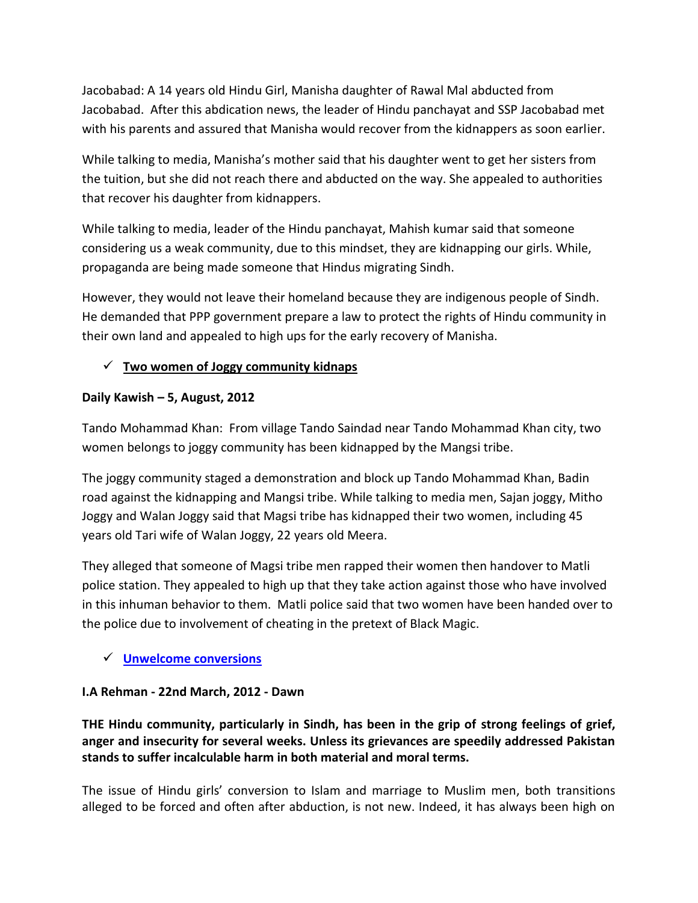Jacobabad: A 14 years old Hindu Girl, Manisha daughter of Rawal Mal abducted from Jacobabad. After this abdication news, the leader of Hindu panchayat and SSP Jacobabad met with his parents and assured that Manisha would recover from the kidnappers as soon earlier.

While talking to media, Manisha's mother said that his daughter went to get her sisters from the tuition, but she did not reach there and abducted on the way. She appealed to authorities that recover his daughter from kidnappers.

While talking to media, leader of the Hindu panchayat, Mahish kumar said that someone considering us a weak community, due to this mindset, they are kidnapping our girls. While, propaganda are being made someone that Hindus migrating Sindh.

However, they would not leave their homeland because they are indigenous people of Sindh. He demanded that PPP government prepare a law to protect the rights of Hindu community in their own land and appealed to high ups for the early recovery of Manisha.

# **Two women of Joggy community kidnaps**

# **Daily Kawish – 5, August, 2012**

Tando Mohammad Khan: From village Tando Saindad near Tando Mohammad Khan city, two women belongs to joggy community has been kidnapped by the Mangsi tribe.

The joggy community staged a demonstration and block up Tando Mohammad Khan, Badin road against the kidnapping and Mangsi tribe. While talking to media men, Sajan joggy, Mitho Joggy and Walan Joggy said that Magsi tribe has kidnapped their two women, including 45 years old Tari wife of Walan Joggy, 22 years old Meera.

They alleged that someone of Magsi tribe men rapped their women then handover to Matli police station. They appealed to high up that they take action against those who have involved in this inhuman behavior to them. Matli police said that two women have been handed over to the police due to involvement of cheating in the pretext of Black Magic.

# **[Unwelcome conversions](http://dawn.com/2012/03/22/unwelcome-conversions/)**

# **I.A Rehman - 22nd March, 2012 - Dawn**

**THE Hindu community, particularly in Sindh, has been in the grip of strong feelings of grief, anger and insecurity for several weeks. Unless its grievances are speedily addressed Pakistan stands to suffer incalculable harm in both material and moral terms.**

The issue of Hindu girls' conversion to Islam and marriage to Muslim men, both transitions alleged to be forced and often after abduction, is not new. Indeed, it has always been high on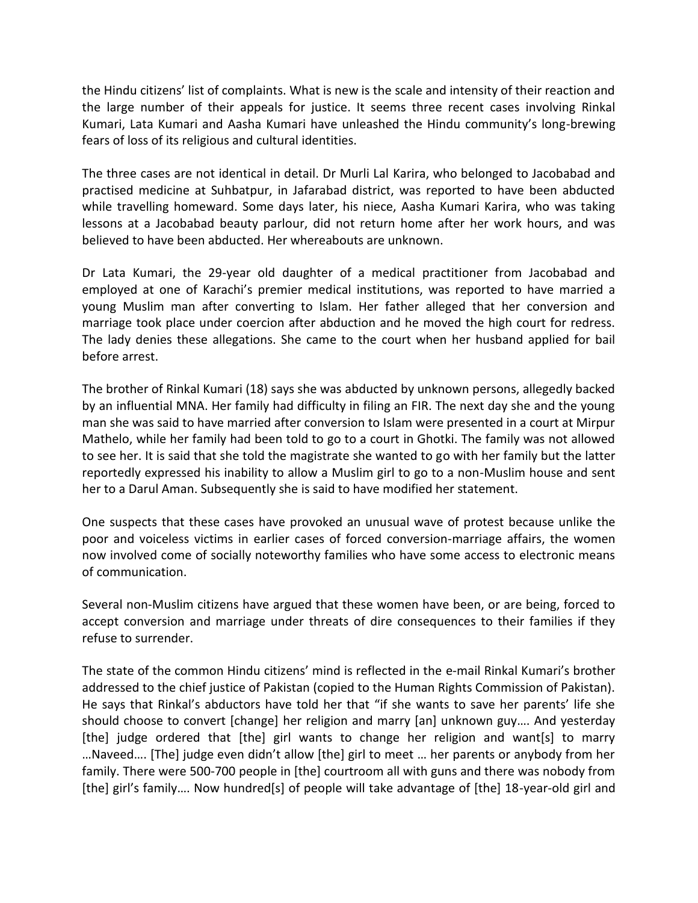the Hindu citizens' list of complaints. What is new is the scale and intensity of their reaction and the large number of their appeals for justice. It seems three recent cases involving Rinkal Kumari, Lata Kumari and Aasha Kumari have unleashed the Hindu community's long-brewing fears of loss of its religious and cultural identities.

The three cases are not identical in detail. Dr Murli Lal Karira, who belonged to Jacobabad and practised medicine at Suhbatpur, in Jafarabad district, was reported to have been abducted while travelling homeward. Some days later, his niece, Aasha Kumari Karira, who was taking lessons at a Jacobabad beauty parlour, did not return home after her work hours, and was believed to have been abducted. Her whereabouts are unknown.

Dr Lata Kumari, the 29-year old daughter of a medical practitioner from Jacobabad and employed at one of Karachi's premier medical institutions, was reported to have married a young Muslim man after converting to Islam. Her father alleged that her conversion and marriage took place under coercion after abduction and he moved the high court for redress. The lady denies these allegations. She came to the court when her husband applied for bail before arrest.

The brother of Rinkal Kumari (18) says she was abducted by unknown persons, allegedly backed by an influential MNA. Her family had difficulty in filing an FIR. The next day she and the young man she was said to have married after conversion to Islam were presented in a court at Mirpur Mathelo, while her family had been told to go to a court in Ghotki. The family was not allowed to see her. It is said that she told the magistrate she wanted to go with her family but the latter reportedly expressed his inability to allow a Muslim girl to go to a non-Muslim house and sent her to a Darul Aman. Subsequently she is said to have modified her statement.

One suspects that these cases have provoked an unusual wave of protest because unlike the poor and voiceless victims in earlier cases of forced conversion-marriage affairs, the women now involved come of socially noteworthy families who have some access to electronic means of communication.

Several non-Muslim citizens have argued that these women have been, or are being, forced to accept conversion and marriage under threats of dire consequences to their families if they refuse to surrender.

The state of the common Hindu citizens' mind is reflected in the e-mail Rinkal Kumari's brother addressed to the chief justice of Pakistan (copied to the Human Rights Commission of Pakistan). He says that Rinkal's abductors have told her that "if she wants to save her parents' life she should choose to convert [change] her religion and marry [an] unknown guy…. And yesterday [the] judge ordered that [the] girl wants to change her religion and want[s] to marry …Naveed…. [The] judge even didn't allow [the] girl to meet … her parents or anybody from her family. There were 500-700 people in [the] courtroom all with guns and there was nobody from [the] girl's family…. Now hundred[s] of people will take advantage of [the] 18-year-old girl and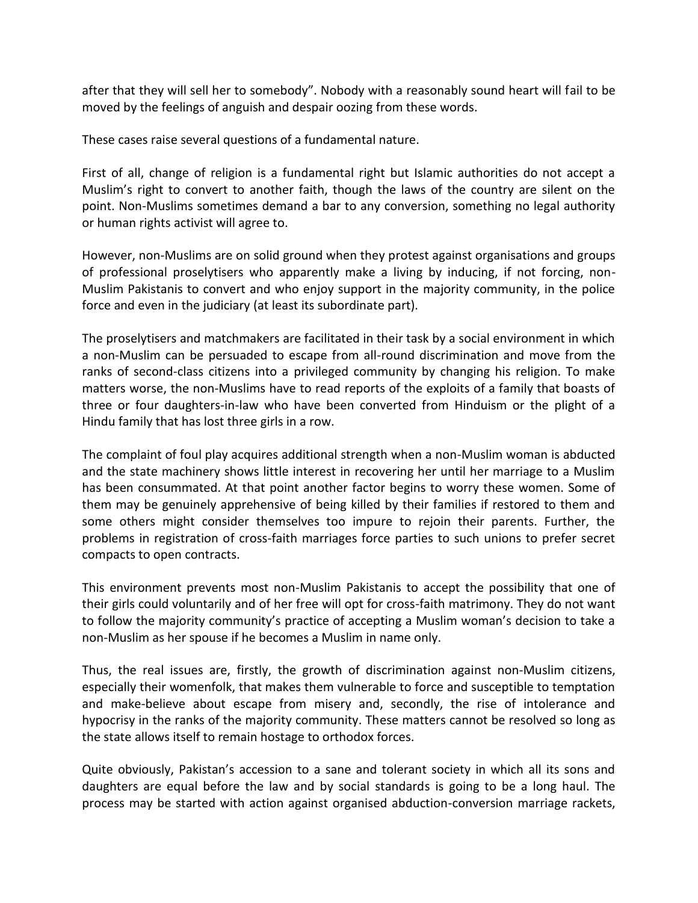after that they will sell her to somebody". Nobody with a reasonably sound heart will fail to be moved by the feelings of anguish and despair oozing from these words.

These cases raise several questions of a fundamental nature.

First of all, change of religion is a fundamental right but Islamic authorities do not accept a Muslim's right to convert to another faith, though the laws of the country are silent on the point. Non-Muslims sometimes demand a bar to any conversion, something no legal authority or human rights activist will agree to.

However, non-Muslims are on solid ground when they protest against organisations and groups of professional proselytisers who apparently make a living by inducing, if not forcing, non-Muslim Pakistanis to convert and who enjoy support in the majority community, in the police force and even in the judiciary (at least its subordinate part).

The proselytisers and matchmakers are facilitated in their task by a social environment in which a non-Muslim can be persuaded to escape from all-round discrimination and move from the ranks of second-class citizens into a privileged community by changing his religion. To make matters worse, the non-Muslims have to read reports of the exploits of a family that boasts of three or four daughters-in-law who have been converted from Hinduism or the plight of a Hindu family that has lost three girls in a row.

The complaint of foul play acquires additional strength when a non-Muslim woman is abducted and the state machinery shows little interest in recovering her until her marriage to a Muslim has been consummated. At that point another factor begins to worry these women. Some of them may be genuinely apprehensive of being killed by their families if restored to them and some others might consider themselves too impure to rejoin their parents. Further, the problems in registration of cross-faith marriages force parties to such unions to prefer secret compacts to open contracts.

This environment prevents most non-Muslim Pakistanis to accept the possibility that one of their girls could voluntarily and of her free will opt for cross-faith matrimony. They do not want to follow the majority community's practice of accepting a Muslim woman's decision to take a non-Muslim as her spouse if he becomes a Muslim in name only.

Thus, the real issues are, firstly, the growth of discrimination against non-Muslim citizens, especially their womenfolk, that makes them vulnerable to force and susceptible to temptation and make-believe about escape from misery and, secondly, the rise of intolerance and hypocrisy in the ranks of the majority community. These matters cannot be resolved so long as the state allows itself to remain hostage to orthodox forces.

Quite obviously, Pakistan's accession to a sane and tolerant society in which all its sons and daughters are equal before the law and by social standards is going to be a long haul. The process may be started with action against organised abduction-conversion marriage rackets,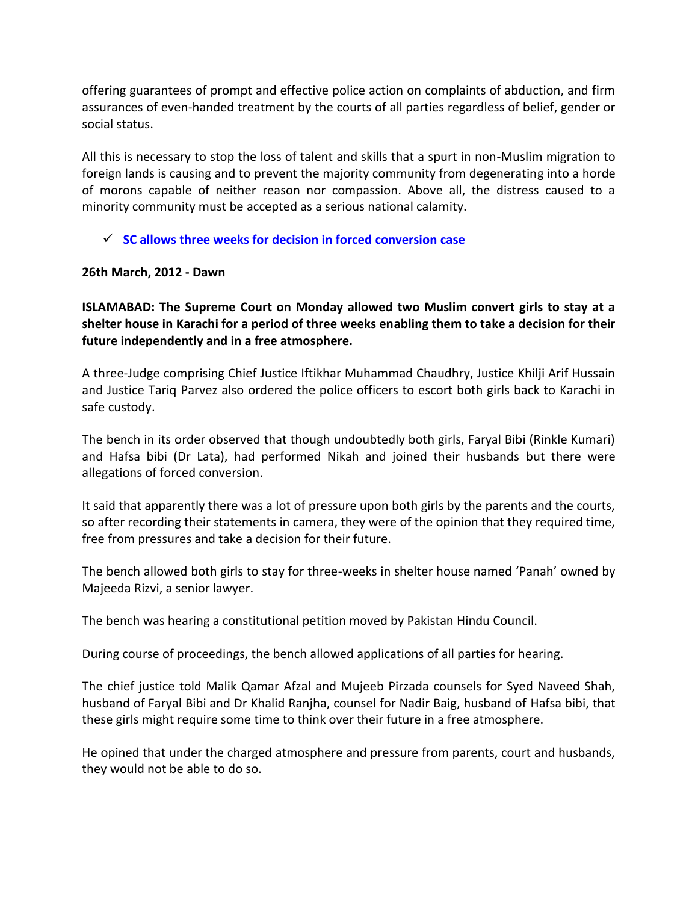offering guarantees of prompt and effective police action on complaints of abduction, and firm assurances of even-handed treatment by the courts of all parties regardless of belief, gender or social status.

All this is necessary to stop the loss of talent and skills that a spurt in non-Muslim migration to foreign lands is causing and to prevent the majority community from degenerating into a horde of morons capable of neither reason nor compassion. Above all, the distress caused to a minority community must be accepted as a serious national calamity.

**[SC allows three weeks for decision in forced conversion case](http://dawn.com/2012/03/26/sc-allows-three-weeks-for-decision-in-forced-conversion-case/)**

### **26th March, 2012 - Dawn**

**ISLAMABAD: The Supreme Court on Monday allowed two Muslim convert girls to stay at a shelter house in Karachi for a period of three weeks enabling them to take a decision for their future independently and in a free atmosphere.**

A three-Judge comprising Chief Justice Iftikhar Muhammad Chaudhry, Justice Khilji Arif Hussain and Justice Tariq Parvez also ordered the police officers to escort both girls back to Karachi in safe custody.

The bench in its order observed that though undoubtedly both girls, Faryal Bibi (Rinkle Kumari) and Hafsa bibi (Dr Lata), had performed Nikah and joined their husbands but there were allegations of forced conversion.

It said that apparently there was a lot of pressure upon both girls by the parents and the courts, so after recording their statements in camera, they were of the opinion that they required time, free from pressures and take a decision for their future.

The bench allowed both girls to stay for three-weeks in shelter house named 'Panah' owned by Majeeda Rizvi, a senior lawyer.

The bench was hearing a constitutional petition moved by Pakistan Hindu Council.

During course of proceedings, the bench allowed applications of all parties for hearing.

The chief justice told Malik Qamar Afzal and Mujeeb Pirzada counsels for Syed Naveed Shah, husband of Faryal Bibi and Dr Khalid Ranjha, counsel for Nadir Baig, husband of Hafsa bibi, that these girls might require some time to think over their future in a free atmosphere.

He opined that under the charged atmosphere and pressure from parents, court and husbands, they would not be able to do so.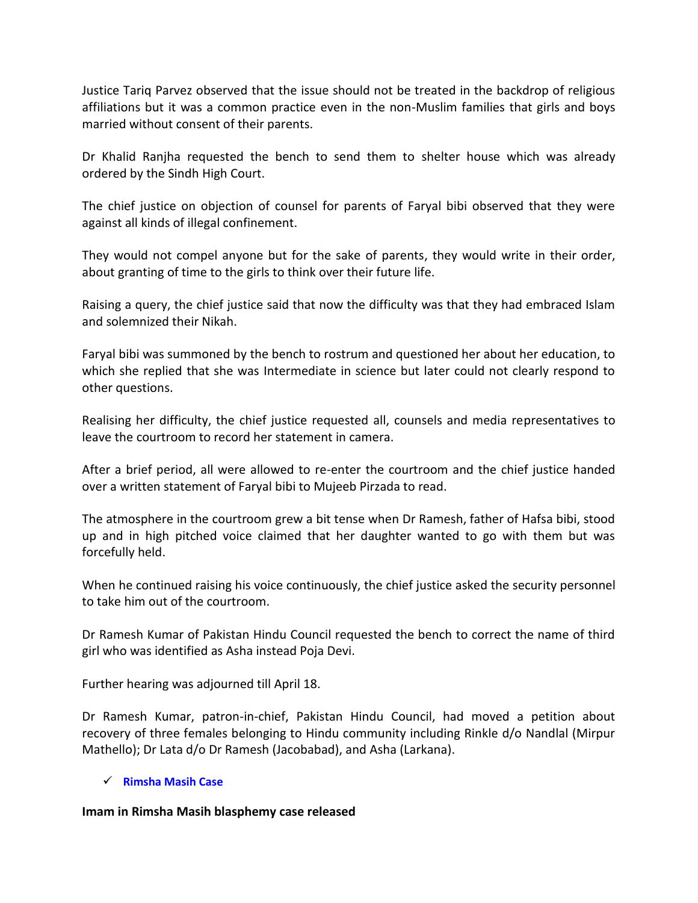Justice Tariq Parvez observed that the issue should not be treated in the backdrop of religious affiliations but it was a common practice even in the non-Muslim families that girls and boys married without consent of their parents.

Dr Khalid Ranjha requested the bench to send them to shelter house which was already ordered by the Sindh High Court.

The chief justice on objection of counsel for parents of Faryal bibi observed that they were against all kinds of illegal confinement.

They would not compel anyone but for the sake of parents, they would write in their order, about granting of time to the girls to think over their future life.

Raising a query, the chief justice said that now the difficulty was that they had embraced Islam and solemnized their Nikah.

Faryal bibi was summoned by the bench to rostrum and questioned her about her education, to which she replied that she was Intermediate in science but later could not clearly respond to other questions.

Realising her difficulty, the chief justice requested all, counsels and media representatives to leave the courtroom to record her statement in camera.

After a brief period, all were allowed to re-enter the courtroom and the chief justice handed over a written statement of Faryal bibi to Mujeeb Pirzada to read.

The atmosphere in the courtroom grew a bit tense when Dr Ramesh, father of Hafsa bibi, stood up and in high pitched voice claimed that her daughter wanted to go with them but was forcefully held.

When he continued raising his voice continuously, the chief justice asked the security personnel to take him out of the courtroom.

Dr Ramesh Kumar of Pakistan Hindu Council requested the bench to correct the name of third girl who was identified as Asha instead Poja Devi.

Further hearing was adjourned till April 18.

Dr Ramesh Kumar, patron-in-chief, Pakistan Hindu Council, had moved a petition about recovery of three females belonging to Hindu community including Rinkle d/o Nandlal (Mirpur Mathello); Dr Lata d/o Dr Ramesh (Jacobabad), and Asha (Larkana).

#### **[Rimsha Masih Case](http://dawn.com/2012/10/12/imam-in-rimsha-masih-blasphemy-case-released/)**

#### **Imam in Rimsha Masih blasphemy case released**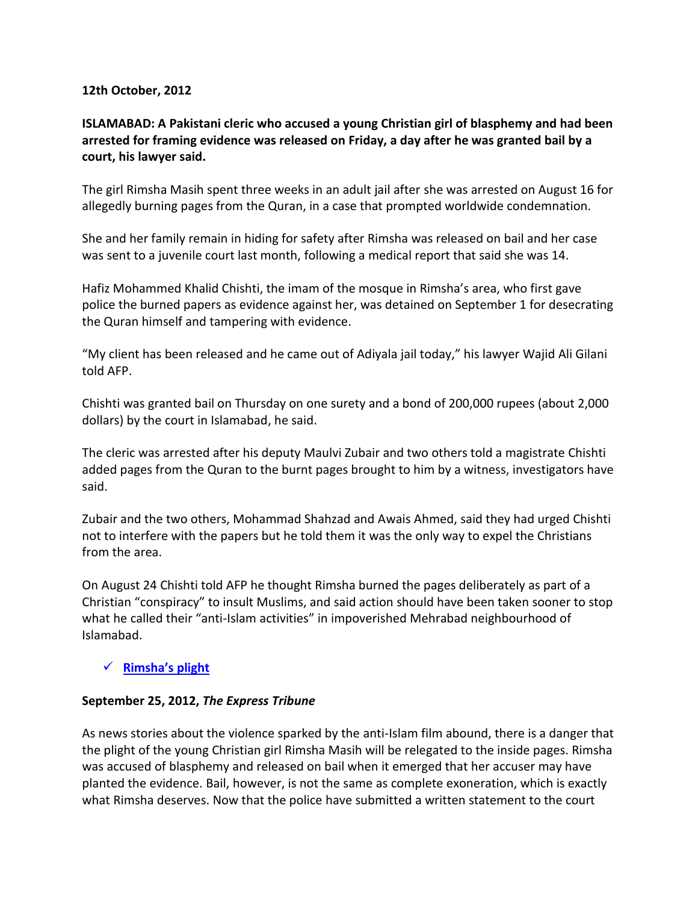#### **12th October, 2012**

# **ISLAMABAD: A Pakistani cleric who accused a young Christian girl of blasphemy and had been arrested for framing evidence was released on Friday, a day after he was granted bail by a court, his lawyer said.**

The girl Rimsha Masih spent three weeks in an adult jail after she was arrested on August 16 for allegedly burning pages from the Quran, in a case that prompted worldwide condemnation.

She and her family remain in hiding for safety after Rimsha was released on bail and her case was sent to a juvenile court last month, following a medical report that said she was 14.

Hafiz Mohammed Khalid Chishti, the imam of the mosque in Rimsha's area, who first gave police the burned papers as evidence against her, was detained on September 1 for desecrating the Quran himself and tampering with evidence.

"My client has been released and he came out of Adiyala jail today," his lawyer Wajid Ali Gilani told AFP.

Chishti was granted bail on Thursday on one surety and a bond of 200,000 rupees (about 2,000 dollars) by the court in Islamabad, he said.

The cleric was arrested after his deputy Maulvi Zubair and two others told a magistrate Chishti added pages from the Quran to the burnt pages brought to him by a witness, investigators have said.

Zubair and the two others, Mohammad Shahzad and Awais Ahmed, said they had urged Chishti not to interfere with the papers but he told them it was the only way to expel the Christians from the area.

On August 24 Chishti told AFP he thought Rimsha burned the pages deliberately as part of a Christian "conspiracy" to insult Muslims, and said action should have been taken sooner to stop what he called their "anti-Islam activities" in impoverished Mehrabad neighbourhood of Islamabad.

# **[Rimsha's plight](http://tribune.com.pk/story/441720/rimshas-plight/)**

# **September 25, 2012,** *The Express Tribune*

As news stories about the violence sparked by the anti-Islam film abound, there is a danger that the plight of the young Christian girl Rimsha Masih will be relegated to the inside pages. Rimsha was accused of blasphemy and released on bail when it emerged that her accuser may have planted the evidence. Bail, however, is not the same as complete exoneration, which is exactly what Rimsha deserves. Now that the police have submitted a written statement to the court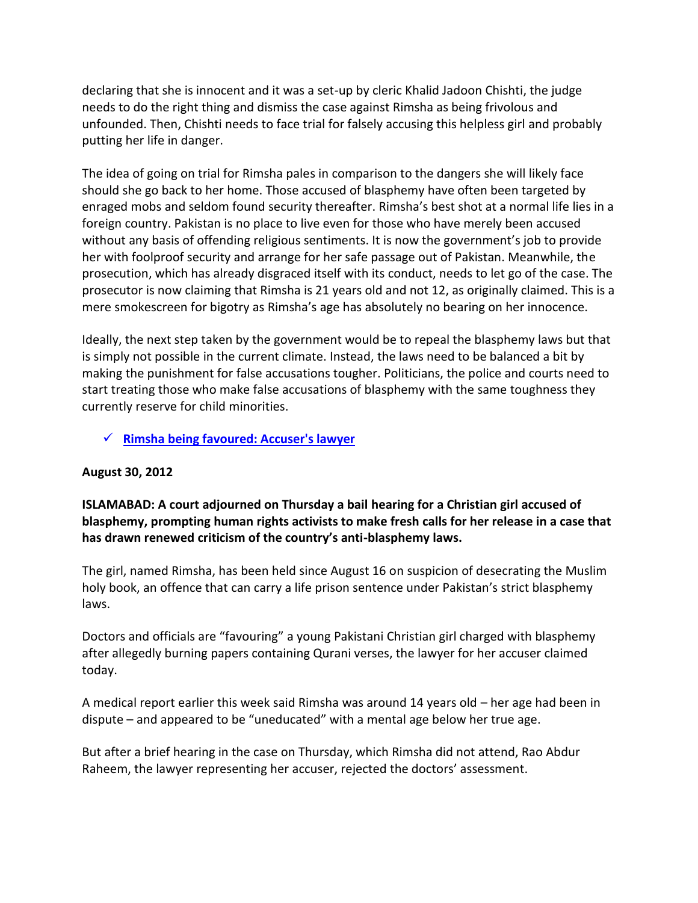declaring that she is innocent and it was a set-up by cleric Khalid Jadoon Chishti, the judge needs to do the right thing and dismiss the case against Rimsha as being frivolous and unfounded. Then, Chishti needs to face trial for falsely accusing this helpless girl and probably putting her life in danger.

The idea of going on trial for Rimsha pales in comparison to the dangers she will likely face should she go back to her home. Those accused of blasphemy have often been targeted by enraged mobs and seldom found security thereafter. Rimsha's best shot at a normal life lies in a foreign country. Pakistan is no place to live even for those who have merely been accused without any basis of offending religious sentiments. It is now the government's job to provide her with foolproof security and arrange for her safe passage out of Pakistan. Meanwhile, the prosecution, which has already disgraced itself with its conduct, needs to let go of the case. The prosecutor is now claiming that Rimsha is 21 years old and not 12, as originally claimed. This is a mere smokescreen for bigotry as Rimsha's age has absolutely no bearing on her innocence.

Ideally, the next step taken by the government would be to repeal the blasphemy laws but that is simply not possible in the current climate. Instead, the laws need to be balanced a bit by making the punishment for false accusations tougher. Politicians, the police and courts need to start treating those who make false accusations of blasphemy with the same toughness they currently reserve for child minorities.

**[Rimsha being favoured: Accuser's lawyer](http://tribune.com.pk/story/428443/rimsha-masih-being-favoured-accusers-lawyer/)**

# **August 30, 2012**

# **ISLAMABAD: A court adjourned on Thursday a bail hearing for a Christian girl accused of blasphemy, prompting human rights activists to make fresh calls for her release in a case that has drawn renewed criticism of the country's anti-blasphemy laws.**

The girl, named Rimsha, has been held since August 16 on suspicion of desecrating the Muslim holy book, an offence that can carry a life prison sentence under Pakistan's strict blasphemy laws.

Doctors and officials are "favouring" a young Pakistani Christian girl charged with blasphemy after allegedly burning papers containing Qurani verses, the lawyer for her accuser claimed today.

A medical report earlier this week said Rimsha was around 14 years old – her age had been in dispute – and appeared to be "uneducated" with a mental age below her true age.

But after a brief hearing in the case on Thursday, which Rimsha did not attend, Rao Abdur Raheem, the lawyer representing her accuser, rejected the doctors' assessment.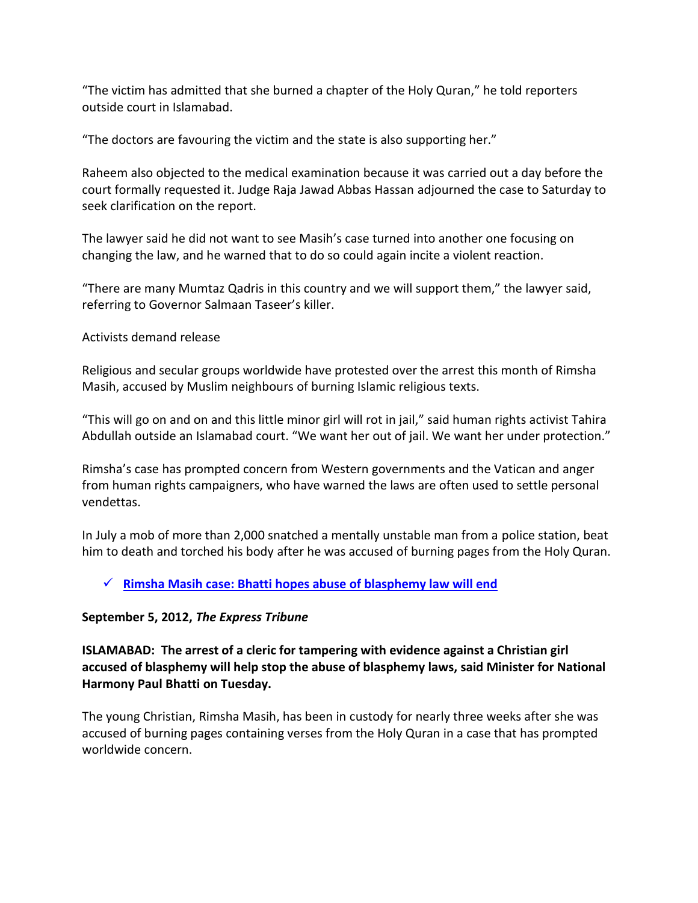"The victim has admitted that she burned a chapter of the Holy Quran," he told reporters outside court in Islamabad.

"The doctors are favouring the victim and the state is also supporting her."

Raheem also objected to the medical examination because it was carried out a day before the court formally requested it. Judge Raja Jawad Abbas Hassan adjourned the case to Saturday to seek clarification on the report.

The lawyer said he did not want to see Masih's case turned into another one focusing on changing the law, and he warned that to do so could again incite a violent reaction.

"There are many Mumtaz Qadris in this country and we will support them," the lawyer said, referring to Governor Salmaan Taseer's killer.

Activists demand release

Religious and secular groups worldwide have protested over the arrest this month of Rimsha Masih, accused by Muslim neighbours of burning Islamic religious texts.

"This will go on and on and this little minor girl will rot in jail," said human rights activist Tahira Abdullah outside an Islamabad court. "We want her out of jail. We want her under protection."

Rimsha's case has prompted concern from Western governments and the Vatican and anger from human rights campaigners, who have warned the laws are often used to settle personal vendettas.

In July a mob of more than 2,000 snatched a mentally unstable man from a police station, beat him to death and torched his body after he was accused of burning pages from the Holy Quran.

# **[Rimsha Masih case: Bhatti hopes abuse of blasphemy law will end](http://tribune.com.pk/story/431574/rimsha-masih-case-bhatti-hopes-abuse-of-blasphemy-law-will-end/)**

# **September 5, 2012,** *The Express Tribune*

**ISLAMABAD: The arrest of a cleric for tampering with evidence against a Christian girl accused of blasphemy will help stop the abuse of blasphemy laws, said Minister for National Harmony Paul Bhatti on Tuesday.**

The young Christian, Rimsha Masih, has been in custody for nearly three weeks after she was accused of burning pages containing verses from the Holy Quran in a case that has prompted worldwide concern.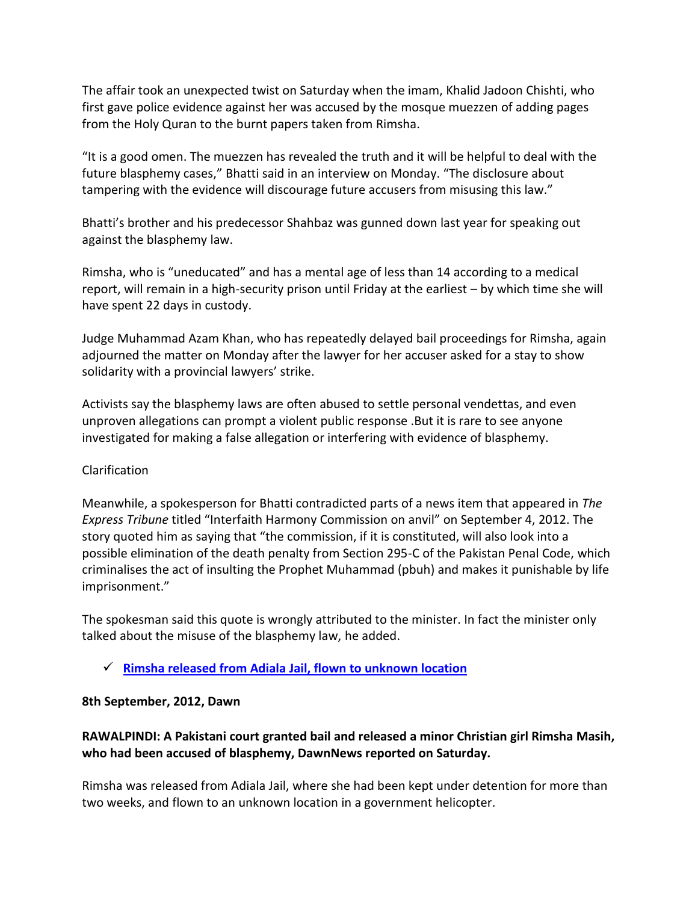The affair took an unexpected twist on Saturday when the imam, Khalid Jadoon Chishti, who first gave police evidence against her was accused by the mosque muezzen of adding pages from the Holy Quran to the burnt papers taken from Rimsha.

"It is a good omen. The muezzen has revealed the truth and it will be helpful to deal with the future blasphemy cases," Bhatti said in an interview on Monday. "The disclosure about tampering with the evidence will discourage future accusers from misusing this law."

Bhatti's brother and his predecessor Shahbaz was gunned down last year for speaking out against the blasphemy law.

Rimsha, who is "uneducated" and has a mental age of less than 14 according to a medical report, will remain in a high-security prison until Friday at the earliest – by which time she will have spent 22 days in custody.

Judge Muhammad Azam Khan, who has repeatedly delayed bail proceedings for Rimsha, again adjourned the matter on Monday after the lawyer for her accuser asked for a stay to show solidarity with a provincial lawyers' strike.

Activists say the blasphemy laws are often abused to settle personal vendettas, and even unproven allegations can prompt a violent public response .But it is rare to see anyone investigated for making a false allegation or interfering with evidence of blasphemy.

# Clarification

Meanwhile, a spokesperson for Bhatti contradicted parts of a news item that appeared in *The Express Tribune* titled "Interfaith Harmony Commission on anvil" on September 4, 2012. The story quoted him as saying that "the commission, if it is constituted, will also look into a possible elimination of the death penalty from Section 295-C of the Pakistan Penal Code, which criminalises the act of insulting the Prophet Muhammad (pbuh) and makes it punishable by life imprisonment."

The spokesman said this quote is wrongly attributed to the minister. In fact the minister only talked about the misuse of the blasphemy law, he added.

**Rimsha released from Adiala [Jail, flown to unknown location](http://dawn.com/2012/09/08/rimsha-released-from-adiala-jail-flown-to-unknown-location/)**

# **8th September, 2012, Dawn**

# **RAWALPINDI: A Pakistani court granted bail and released a minor Christian girl Rimsha Masih, who had been accused of blasphemy, DawnNews reported on Saturday.**

Rimsha was released from Adiala Jail, where she had been kept under detention for more than two weeks, and flown to an unknown location in a government helicopter.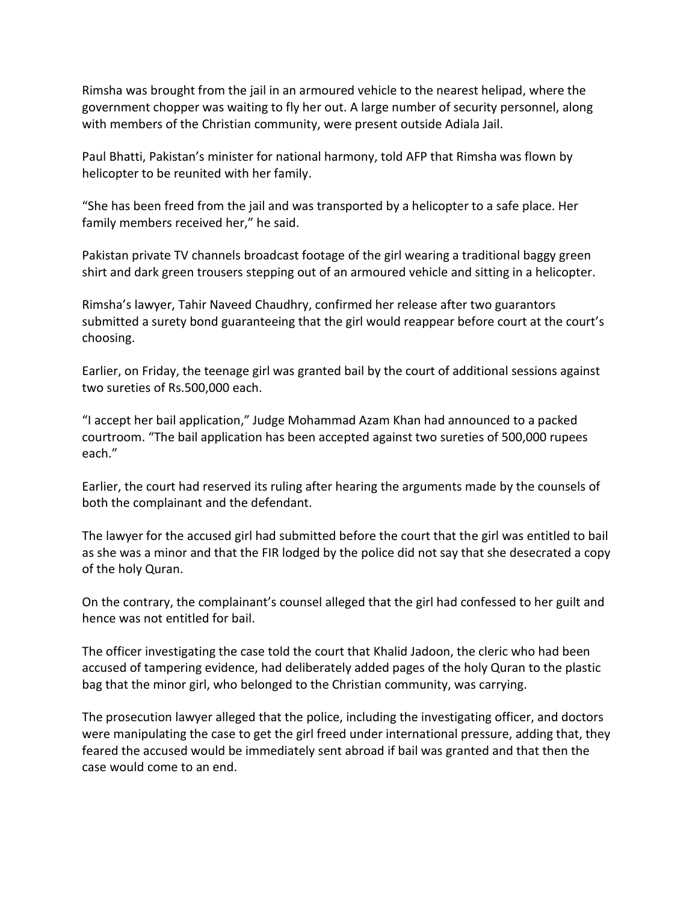Rimsha was brought from the jail in an armoured vehicle to the nearest helipad, where the government chopper was waiting to fly her out. A large number of security personnel, along with members of the Christian community, were present outside Adiala Jail.

Paul Bhatti, Pakistan's minister for national harmony, told AFP that Rimsha was flown by helicopter to be reunited with her family.

"She has been freed from the jail and was transported by a helicopter to a safe place. Her family members received her," he said.

Pakistan private TV channels broadcast footage of the girl wearing a traditional baggy green shirt and dark green trousers stepping out of an armoured vehicle and sitting in a helicopter.

Rimsha's lawyer, Tahir Naveed Chaudhry, confirmed her release after two guarantors submitted a surety bond guaranteeing that the girl would reappear before court at the court's choosing.

Earlier, on Friday, the teenage girl was granted bail by the court of additional sessions against two sureties of Rs.500,000 each.

"I accept her bail application," Judge Mohammad Azam Khan had announced to a packed courtroom. "The bail application has been accepted against two sureties of 500,000 rupees each."

Earlier, the court had reserved its ruling after hearing the arguments made by the counsels of both the complainant and the defendant.

The lawyer for the accused girl had submitted before the court that the girl was entitled to bail as she was a minor and that the FIR lodged by the police did not say that she desecrated a copy of the holy Quran.

On the contrary, the complainant's counsel alleged that the girl had confessed to her guilt and hence was not entitled for bail.

The officer investigating the case told the court that Khalid Jadoon, the cleric who had been accused of tampering evidence, had deliberately added pages of the holy Quran to the plastic bag that the minor girl, who belonged to the Christian community, was carrying.

The prosecution lawyer alleged that the police, including the investigating officer, and doctors were manipulating the case to get the girl freed under international pressure, adding that, they feared the accused would be immediately sent abroad if bail was granted and that then the case would come to an end.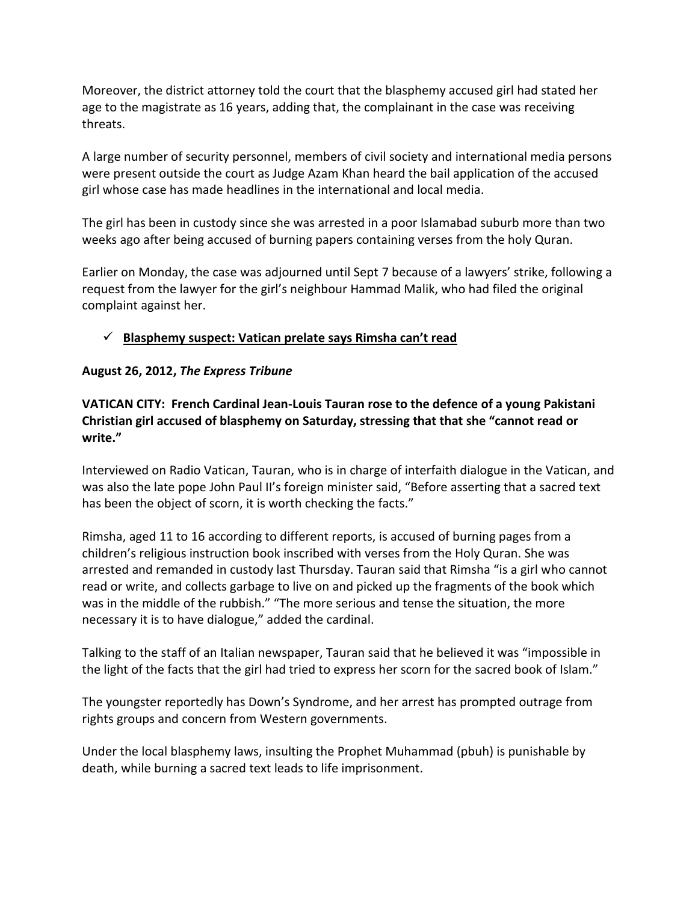Moreover, the district attorney told the court that the blasphemy accused girl had stated her age to the magistrate as 16 years, adding that, the complainant in the case was receiving threats.

A large number of security personnel, members of civil society and international media persons were present outside the court as Judge Azam Khan heard the bail application of the accused girl whose case has made headlines in the international and local media.

The girl has been in custody since she was arrested in a poor Islamabad suburb more than two weeks ago after being accused of burning papers containing verses from the holy Quran.

Earlier on Monday, the case was adjourned until Sept 7 because of a lawyers' strike, following a request from the lawyer for the girl's neighbour Hammad Malik, who had filed the original complaint against her.

# **[Blasphemy suspect: Vatican prelate says Rimsha can't read](http://tribune.com.pk/story/426396/blasphemy-suspect-vatican-prelate-says-rimsha-cant-read/)**

# **August 26, 2012,** *The Express Tribune*

**VATICAN CITY: French Cardinal Jean-Louis Tauran rose to the defence of a young Pakistani Christian girl accused of blasphemy on Saturday, stressing that that she "cannot read or write."**

Interviewed on Radio Vatican, Tauran, who is in charge of interfaith dialogue in the Vatican, and was also the late pope John Paul II's foreign minister said, "Before asserting that a sacred text has been the object of scorn, it is worth checking the facts."

Rimsha, aged 11 to 16 according to different reports, is accused of burning pages from a children's religious instruction book inscribed with verses from the Holy Quran. She was arrested and remanded in custody last Thursday. Tauran said that Rimsha "is a girl who cannot read or write, and collects garbage to live on and picked up the fragments of the book which was in the middle of the rubbish." "The more serious and tense the situation, the more necessary it is to have dialogue," added the cardinal.

Talking to the staff of an Italian newspaper, Tauran said that he believed it was "impossible in the light of the facts that the girl had tried to express her scorn for the sacred book of Islam."

The youngster reportedly has Down's Syndrome, and her arrest has prompted outrage from rights groups and concern from Western governments.

Under the local blasphemy laws, insulting the Prophet Muhammad (pbuh) is punishable by death, while burning a sacred text leads to life imprisonment.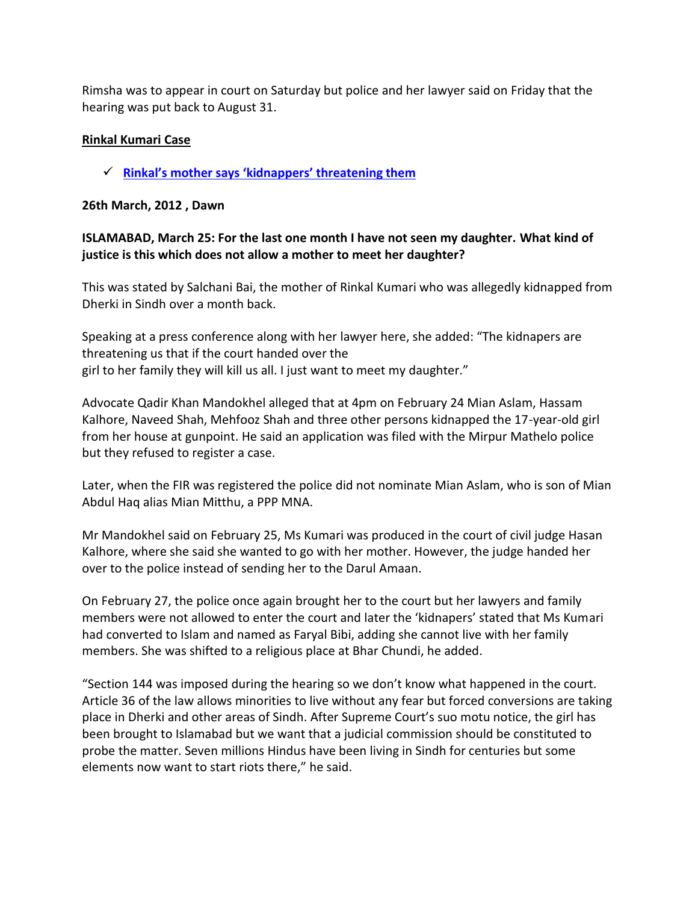Rimsha was to appear in court on Saturday but police and her lawyer said on Friday that the hearing was put back to August 31.

# **Rinkal Kumari Case**

**[Rinkal's mother says 'kidnappers' threatening them](http://dawn.com/2012/03/26/rinkals-mother-says-kidnappers-threatening-them/)**

# **26th March, 2012 , Dawn**

# **ISLAMABAD, March 25: For the last one month I have not seen my daughter. What kind of justice is this which does not allow a mother to meet her daughter?**

This was stated by Salchani Bai, the mother of Rinkal Kumari who was allegedly kidnapped from Dherki in Sindh over a month back.

Speaking at a press conference along with her lawyer here, she added: "The kidnapers are threatening us that if the court handed over the girl to her family they will kill us all. I just want to meet my daughter."

Advocate Qadir Khan Mandokhel alleged that at 4pm on February 24 Mian Aslam, Hassam Kalhore, Naveed Shah, Mehfooz Shah and three other persons kidnapped the 17-year-old girl from her house at gunpoint. He said an application was filed with the Mirpur Mathelo police but they refused to register a case.

Later, when the FIR was registered the police did not nominate Mian Aslam, who is son of Mian Abdul Haq alias Mian Mitthu, a PPP MNA.

Mr Mandokhel said on February 25, Ms Kumari was produced in the court of civil judge Hasan Kalhore, where she said she wanted to go with her mother. However, the judge handed her over to the police instead of sending her to the Darul Amaan.

On February 27, the police once again brought her to the court but her lawyers and family members were not allowed to enter the court and later the 'kidnapers' stated that Ms Kumari had converted to Islam and named as Faryal Bibi, adding she cannot live with her family members. She was shifted to a religious place at Bhar Chundi, he added.

"Section 144 was imposed during the hearing so we don't know what happened in the court. Article 36 of the law allows minorities to live without any fear but forced conversions are taking place in Dherki and other areas of Sindh. After Supreme Court's suo motu notice, the girl has been brought to Islamabad but we want that a judicial commission should be constituted to probe the matter. Seven millions Hindus have been living in Sindh for centuries but some elements now want to start riots there," he said.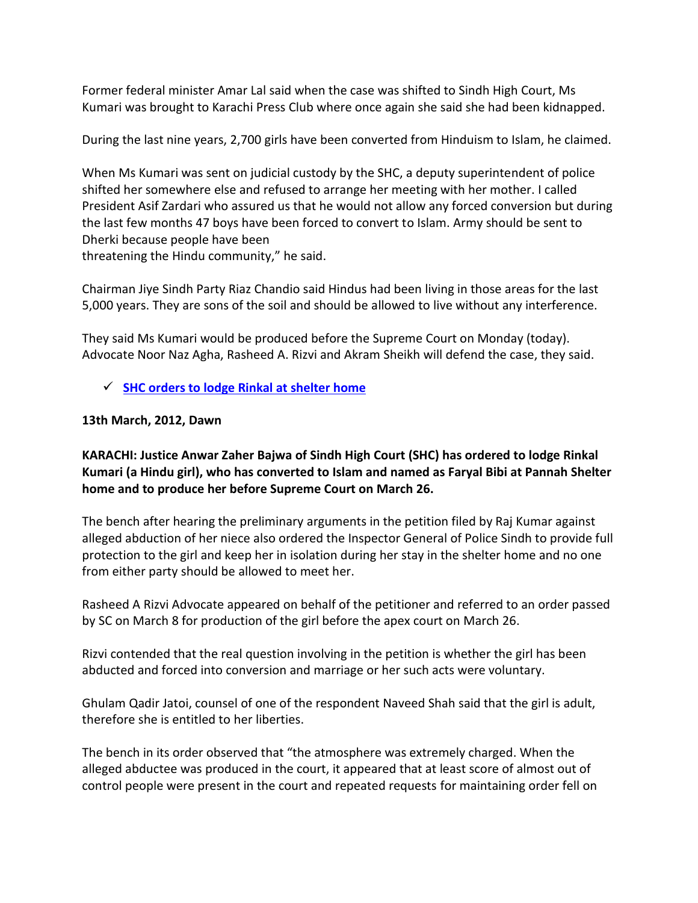Former federal minister Amar Lal said when the case was shifted to Sindh High Court, Ms Kumari was brought to Karachi Press Club where once again she said she had been kidnapped.

During the last nine years, 2,700 girls have been converted from Hinduism to Islam, he claimed.

When Ms Kumari was sent on judicial custody by the SHC, a deputy superintendent of police shifted her somewhere else and refused to arrange her meeting with her mother. I called President Asif Zardari who assured us that he would not allow any forced conversion but during the last few months 47 boys have been forced to convert to Islam. Army should be sent to Dherki because people have been

threatening the Hindu community," he said.

Chairman Jiye Sindh Party Riaz Chandio said Hindus had been living in those areas for the last 5,000 years. They are sons of the soil and should be allowed to live without any interference.

They said Ms Kumari would be produced before the Supreme Court on Monday (today). Advocate Noor Naz Agha, Rasheed A. Rizvi and Akram Sheikh will defend the case, they said.

# **[SHC orders to lodge Rinkal at shelter home](http://dawn.com/2012/03/13/shc-orders-to-lodge-rinkal-at-shelter-home/)**

# **13th March, 2012, Dawn**

# **KARACHI: Justice Anwar Zaher Bajwa of Sindh High Court (SHC) has ordered to lodge Rinkal Kumari (a Hindu girl), who has converted to Islam and named as Faryal Bibi at Pannah Shelter home and to produce her before Supreme Court on March 26.**

The bench after hearing the preliminary arguments in the petition filed by Raj Kumar against alleged abduction of her niece also ordered the Inspector General of Police Sindh to provide full protection to the girl and keep her in isolation during her stay in the shelter home and no one from either party should be allowed to meet her.

Rasheed A Rizvi Advocate appeared on behalf of the petitioner and referred to an order passed by SC on March 8 for production of the girl before the apex court on March 26.

Rizvi contended that the real question involving in the petition is whether the girl has been abducted and forced into conversion and marriage or her such acts were voluntary.

Ghulam Qadir Jatoi, counsel of one of the respondent Naveed Shah said that the girl is adult, therefore she is entitled to her liberties.

The bench in its order observed that "the atmosphere was extremely charged. When the alleged abductee was produced in the court, it appeared that at least score of almost out of control people were present in the court and repeated requests for maintaining order fell on